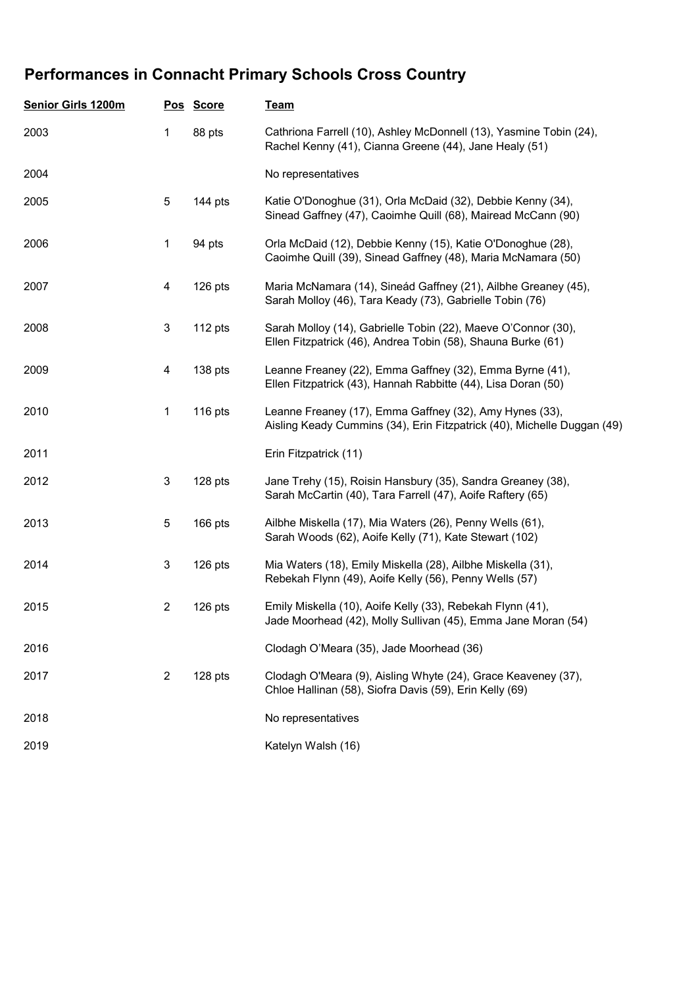## Performances in Connacht Primary Schools Cross Country

| <b>Senior Girls 1200m</b> |                | Pos Score | <b>Team</b>                                                                                                                        |
|---------------------------|----------------|-----------|------------------------------------------------------------------------------------------------------------------------------------|
| 2003                      | 1              | 88 pts    | Cathriona Farrell (10), Ashley McDonnell (13), Yasmine Tobin (24),<br>Rachel Kenny (41), Cianna Greene (44), Jane Healy (51)       |
| 2004                      |                |           | No representatives                                                                                                                 |
| 2005                      | 5              | 144 pts   | Katie O'Donoghue (31), Orla McDaid (32), Debbie Kenny (34),<br>Sinead Gaffney (47), Caoimhe Quill (68), Mairead McCann (90)        |
| 2006                      | $\mathbf{1}$   | 94 pts    | Orla McDaid (12), Debbie Kenny (15), Katie O'Donoghue (28),<br>Caoimhe Quill (39), Sinead Gaffney (48), Maria McNamara (50)        |
| 2007                      | 4              | 126 pts   | Maria McNamara (14), Sineád Gaffney (21), Ailbhe Greaney (45),<br>Sarah Molloy (46), Tara Keady (73), Gabrielle Tobin (76)         |
| 2008                      | 3              | 112 pts   | Sarah Molloy (14), Gabrielle Tobin (22), Maeve O'Connor (30),<br>Ellen Fitzpatrick (46), Andrea Tobin (58), Shauna Burke (61)      |
| 2009                      | 4              | 138 pts   | Leanne Freaney (22), Emma Gaffney (32), Emma Byrne (41),<br>Ellen Fitzpatrick (43), Hannah Rabbitte (44), Lisa Doran (50)          |
| 2010                      | 1              | 116 pts   | Leanne Freaney (17), Emma Gaffney (32), Amy Hynes (33),<br>Aisling Keady Cummins (34), Erin Fitzpatrick (40), Michelle Duggan (49) |
| 2011                      |                |           | Erin Fitzpatrick (11)                                                                                                              |
| 2012                      | 3              | 128 pts   | Jane Trehy (15), Roisin Hansbury (35), Sandra Greaney (38),<br>Sarah McCartin (40), Tara Farrell (47), Aoife Raftery (65)          |
| 2013                      | 5              | 166 pts   | Ailbhe Miskella (17), Mia Waters (26), Penny Wells (61),<br>Sarah Woods (62), Aoife Kelly (71), Kate Stewart (102)                 |
| 2014                      | 3              | 126 pts   | Mia Waters (18), Emily Miskella (28), Ailbhe Miskella (31),<br>Rebekah Flynn (49), Aoife Kelly (56), Penny Wells (57)              |
| 2015                      | $\overline{c}$ | 126 pts   | Emily Miskella (10), Aoife Kelly (33), Rebekah Flynn (41),<br>Jade Moorhead (42), Molly Sullivan (45), Emma Jane Moran (54)        |
| 2016                      |                |           | Clodagh O'Meara (35), Jade Moorhead (36)                                                                                           |
| 2017                      | $\overline{2}$ | 128 pts   | Clodagh O'Meara (9), Aisling Whyte (24), Grace Keaveney (37),<br>Chloe Hallinan (58), Siofra Davis (59), Erin Kelly (69)           |
| 2018                      |                |           | No representatives                                                                                                                 |
| 2019                      |                |           | Katelyn Walsh (16)                                                                                                                 |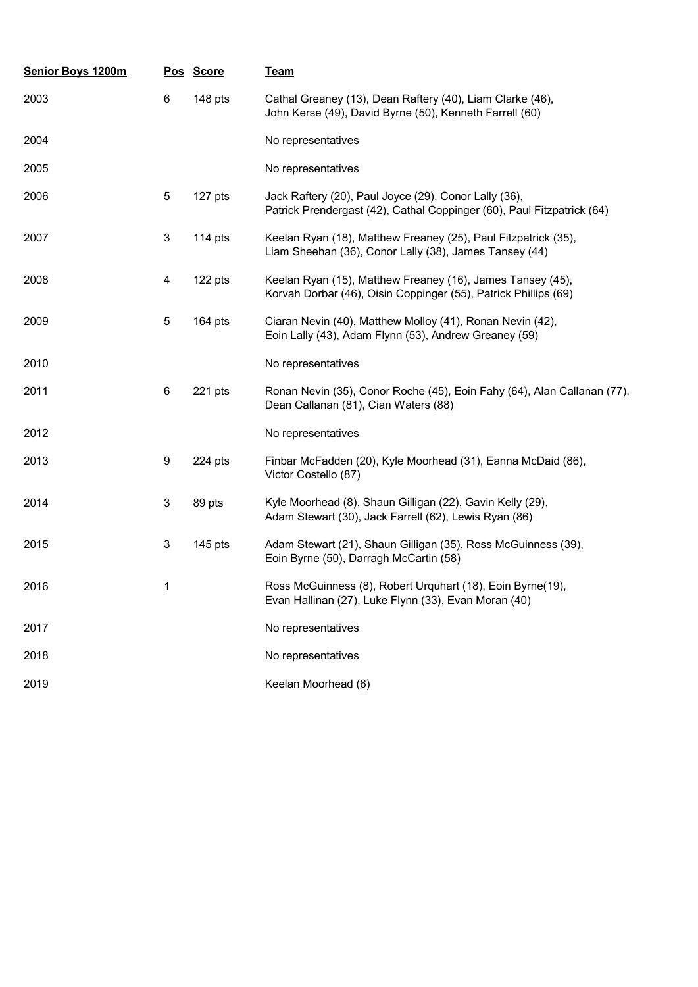| <b>Senior Boys 1200m</b> |                 | Pos Score | <b>Team</b>                                                                                                                     |
|--------------------------|-----------------|-----------|---------------------------------------------------------------------------------------------------------------------------------|
| 2003                     | 6               | 148 pts   | Cathal Greaney (13), Dean Raftery (40), Liam Clarke (46),<br>John Kerse (49), David Byrne (50), Kenneth Farrell (60)            |
| 2004                     |                 |           | No representatives                                                                                                              |
| 2005                     |                 |           | No representatives                                                                                                              |
| 2006                     | 5               | 127 pts   | Jack Raftery (20), Paul Joyce (29), Conor Lally (36),<br>Patrick Prendergast (42), Cathal Coppinger (60), Paul Fitzpatrick (64) |
| 2007                     | 3               | 114 pts   | Keelan Ryan (18), Matthew Freaney (25), Paul Fitzpatrick (35),<br>Liam Sheehan (36), Conor Lally (38), James Tansey (44)        |
| 2008                     | 4               | 122 pts   | Keelan Ryan (15), Matthew Freaney (16), James Tansey (45),<br>Korvah Dorbar (46), Oisin Coppinger (55), Patrick Phillips (69)   |
| 2009                     | 5               | $164$ pts | Ciaran Nevin (40), Matthew Molloy (41), Ronan Nevin (42),<br>Eoin Lally (43), Adam Flynn (53), Andrew Greaney (59)              |
| 2010                     |                 |           | No representatives                                                                                                              |
| 2011                     | $6\phantom{1}6$ | 221 pts   | Ronan Nevin (35), Conor Roche (45), Eoin Fahy (64), Alan Callanan (77),<br>Dean Callanan (81), Cian Waters (88)                 |
| 2012                     |                 |           | No representatives                                                                                                              |
| 2013                     | 9               | 224 pts   | Finbar McFadden (20), Kyle Moorhead (31), Eanna McDaid (86),<br>Victor Costello (87)                                            |
| 2014                     | $\mathbf{3}$    | 89 pts    | Kyle Moorhead (8), Shaun Gilligan (22), Gavin Kelly (29),<br>Adam Stewart (30), Jack Farrell (62), Lewis Ryan (86)              |
| 2015                     | 3               | $145$ pts | Adam Stewart (21), Shaun Gilligan (35), Ross McGuinness (39),<br>Eoin Byrne (50), Darragh McCartin (58)                         |
| 2016                     | 1               |           | Ross McGuinness (8), Robert Urquhart (18), Eoin Byrne(19),<br>Evan Hallinan (27), Luke Flynn (33), Evan Moran (40)              |
| 2017                     |                 |           | No representatives                                                                                                              |
| 2018                     |                 |           | No representatives                                                                                                              |
| 2019                     |                 |           | Keelan Moorhead (6)                                                                                                             |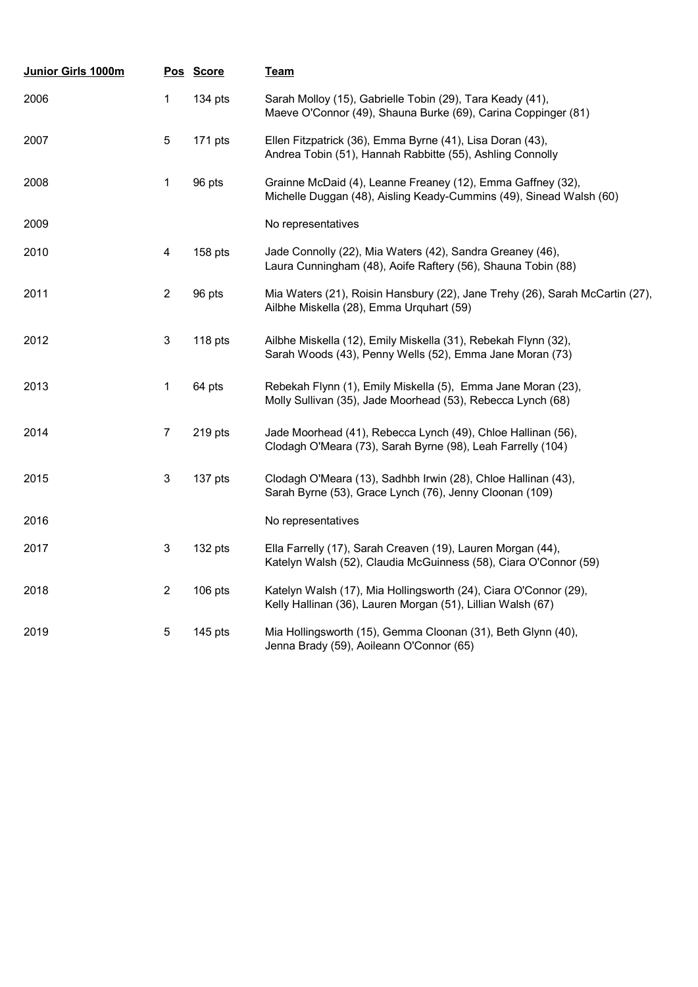| Junior Girls 1000m |                           | Pos Score | Team                                                                                                                               |
|--------------------|---------------------------|-----------|------------------------------------------------------------------------------------------------------------------------------------|
| 2006               | 1                         | 134 pts   | Sarah Molloy (15), Gabrielle Tobin (29), Tara Keady (41),<br>Maeve O'Connor (49), Shauna Burke (69), Carina Coppinger (81)         |
| 2007               | $\mathbf 5$               | 171 pts   | Ellen Fitzpatrick (36), Emma Byrne (41), Lisa Doran (43),<br>Andrea Tobin (51), Hannah Rabbitte (55), Ashling Connolly             |
| 2008               | 1                         | 96 pts    | Grainne McDaid (4), Leanne Freaney (12), Emma Gaffney (32),<br>Michelle Duggan (48), Aisling Keady-Cummins (49), Sinead Walsh (60) |
| 2009               |                           |           | No representatives                                                                                                                 |
| 2010               | 4                         | 158 pts   | Jade Connolly (22), Mia Waters (42), Sandra Greaney (46),<br>Laura Cunningham (48), Aoife Raftery (56), Shauna Tobin (88)          |
| 2011               | $\mathbf{2}$              | 96 pts    | Mia Waters (21), Roisin Hansbury (22), Jane Trehy (26), Sarah McCartin (27),<br>Ailbhe Miskella (28), Emma Urquhart (59)           |
| 2012               | 3                         | 118 pts   | Ailbhe Miskella (12), Emily Miskella (31), Rebekah Flynn (32),<br>Sarah Woods (43), Penny Wells (52), Emma Jane Moran (73)         |
| 2013               | 1                         | 64 pts    | Rebekah Flynn (1), Emily Miskella (5), Emma Jane Moran (23),<br>Molly Sullivan (35), Jade Moorhead (53), Rebecca Lynch (68)        |
| 2014               | 7                         | 219 pts   | Jade Moorhead (41), Rebecca Lynch (49), Chloe Hallinan (56),<br>Clodagh O'Meara (73), Sarah Byrne (98), Leah Farrelly (104)        |
| 2015               | $\ensuremath{\mathsf{3}}$ | 137 pts   | Clodagh O'Meara (13), Sadhbh Irwin (28), Chloe Hallinan (43),<br>Sarah Byrne (53), Grace Lynch (76), Jenny Cloonan (109)           |
| 2016               |                           |           | No representatives                                                                                                                 |
| 2017               | $\ensuremath{\mathsf{3}}$ | 132 pts   | Ella Farrelly (17), Sarah Creaven (19), Lauren Morgan (44),<br>Katelyn Walsh (52), Claudia McGuinness (58), Ciara O'Connor (59)    |
| 2018               | $\overline{c}$            | 106 pts   | Katelyn Walsh (17), Mia Hollingsworth (24), Ciara O'Connor (29),<br>Kelly Hallinan (36), Lauren Morgan (51), Lillian Walsh (67)    |
| 2019               | 5                         | $145$ pts | Mia Hollingsworth (15), Gemma Cloonan (31), Beth Glynn (40),<br>Jenna Brady (59), Aoileann O'Connor (65)                           |